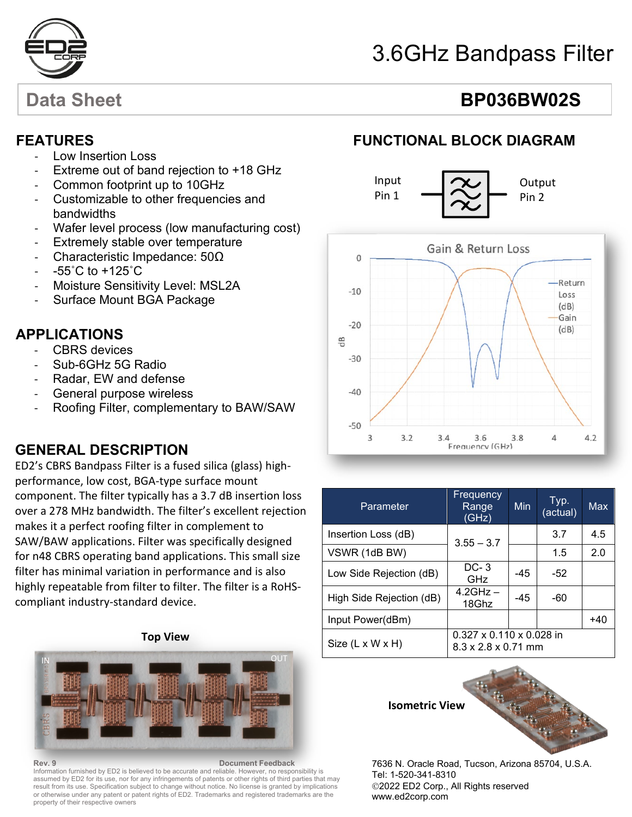

# 3.6GHz Bandpass Filter

# Data Sheet **BP036BW02S**

### **FEATURES**

- Low Insertion Loss
- Extreme out of band rejection to +18 GHz
- Common footprint up to 10GHz
- Customizable to other frequencies and bandwidths
- Wafer level process (low manufacturing cost)
- Extremely stable over temperature
- Characteristic Impedance: 50Ω
- $-55^{\circ}$ C to  $+125^{\circ}$ C
- Moisture Sensitivity Level: MSL2A
- Surface Mount BGA Package

### - **APPLICATIONS**

- CBRS devices
- Sub-6GHz 5G Radio
- Radar, EW and defense
- General purpose wireless
- Roofing Filter, complementary to BAW/SAW

# **GENERAL DESCRIPTION**

ED2's CBRS Bandpass Filter is a fused silica (glass) highperformance, low cost, BGA-type surface mount component. The filter typically has a 3.7 dB insertion loss over a 278 MHz bandwidth. The filter's excellent rejection makes it a perfect roofing filter in complement to SAW/BAW applications. Filter was specifically designed for n48 CBRS operating band applications. This small size filter has minimal variation in performance and is also highly repeatable from filter to filter. The filter is a RoHScompliant industry-standard device.

**Top View**



**Rev. 9 Document Feedback** Information furnished by ED2 is believed to be accurate and reliable. However, no responsibility is assumed by ED2 for its use, nor for any infringements of patents or other rights of third parties that may result from its use. Specification subject to change without notice. No license is granted by implications or otherwise under any patent or patent rights of ED2. Trademarks and registered trademarks are the property of their respective owners

## **FUNCTIONAL BLOCK DIAGRAM**





| Parameter                    | Frequency<br>Range<br>(GHz)                                 | Min   | Typ.<br>(actual) | Max   |
|------------------------------|-------------------------------------------------------------|-------|------------------|-------|
| Insertion Loss (dB)          | $3.55 - 3.7$                                                |       | 3.7              | 4.5   |
| VSWR (1dB BW)                |                                                             |       | 1.5              | 2.0   |
| Low Side Rejection (dB)      | $DC-3$<br>GHz                                               | $-45$ | -52              |       |
| High Side Rejection (dB)     | $4.2$ GHz $-$<br>18Ghz                                      | $-45$ | -60              |       |
| Input Power(dBm)             |                                                             |       |                  | $+40$ |
| Size $(L \times W \times H)$ | $0.327 \times 0.110 \times 0.028$ in<br>8.3 x 2.8 x 0.71 mm |       |                  |       |

**Isometric View**



7636 N. Oracle Road, Tucson, Arizona 85704, U.S.A. Tel: 1-520-341-8310 2022 ED2 Corp., All Rights reserved www.ed2corp.com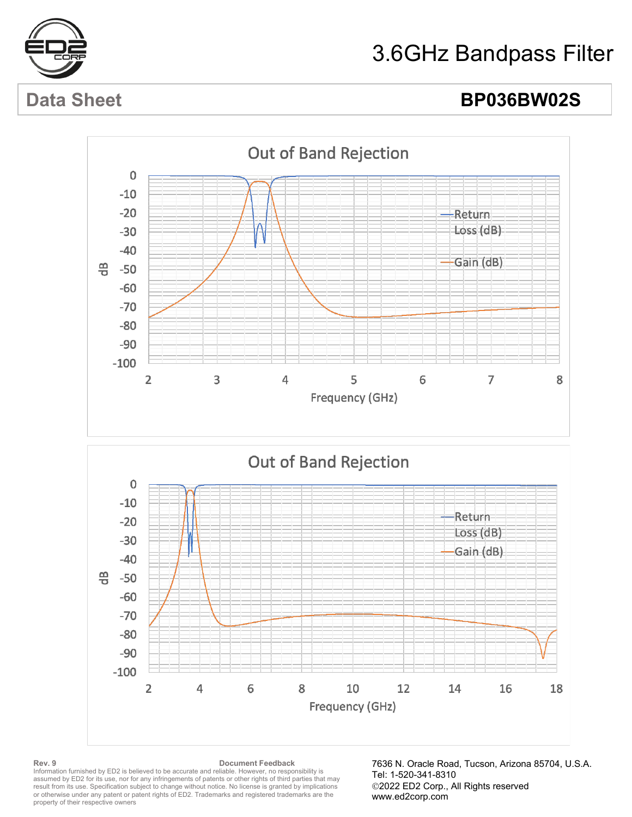

# 3.6GHz Bandpass Filter

# Data Sheet **BP036BW02S**





### **Rev. 9 Document Feedback** Information furnished by ED2 is believed to be accurate and reliable. However, no responsibility is assumed by ED2 for its use, nor for any infringements of patents or other rights of third parties that may result from its use. Specification subject to change without notice. No license is granted by implications or otherwise under any patent or patent rights of ED2. Trademarks and registered trademarks are the property of their respective owners

7636 N. Oracle Road, Tucson, Arizona 85704, U.S.A. Tel: 1-520-341-8310 2022 ED2 Corp., All Rights reserved www.ed2corp.com